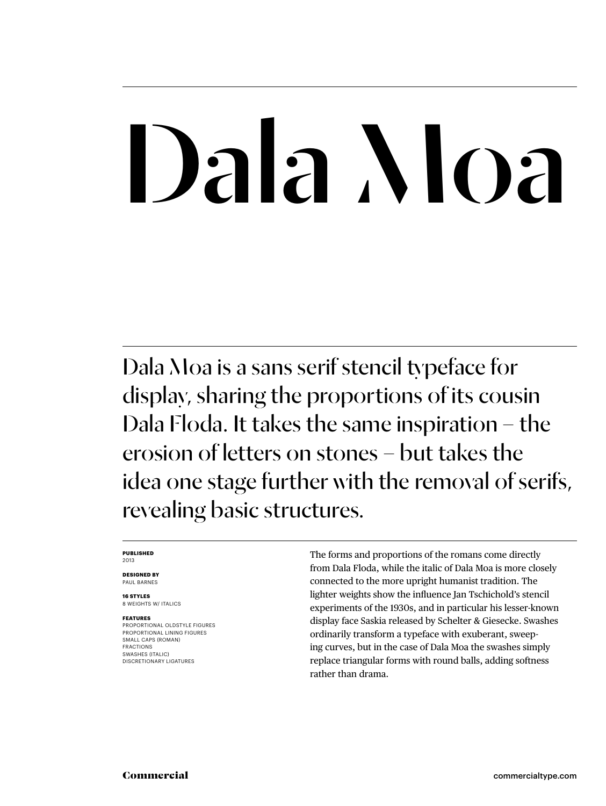# Dala Moa

Dala Moa is a sans serif stencil typeface for display, sharing the proportions of its cousin Dala Floda. It takes the same inspiration – the erosion of letters on stones – but takes the idea one stage further with the removal of serifs, revealing basic structures.

#### **Published** 2013

**Designed by** Paul Barnes

**16 styles** 8 weights w/ ITALICS

#### **Features**

proportional oldstyle figures proportional lining figures Small caps (ROMAN) fractions swashes (italic) DISCRETIONARY LIGATURES

The forms and proportions of the romans come directly from Dala Floda, while the italic of Dala Moa is more closely connected to the more upright humanist tradition. The lighter weights show the influence Jan Tschichold's stencil experiments of the 1930s, and in particular his lesser-known display face Saskia released by Schelter & Giesecke. Swashes ordinarily transform a typeface with exuberant, sweeping curves, but in the case of Dala Moa the swashes simply replace triangular forms with round balls, adding softness rather than drama.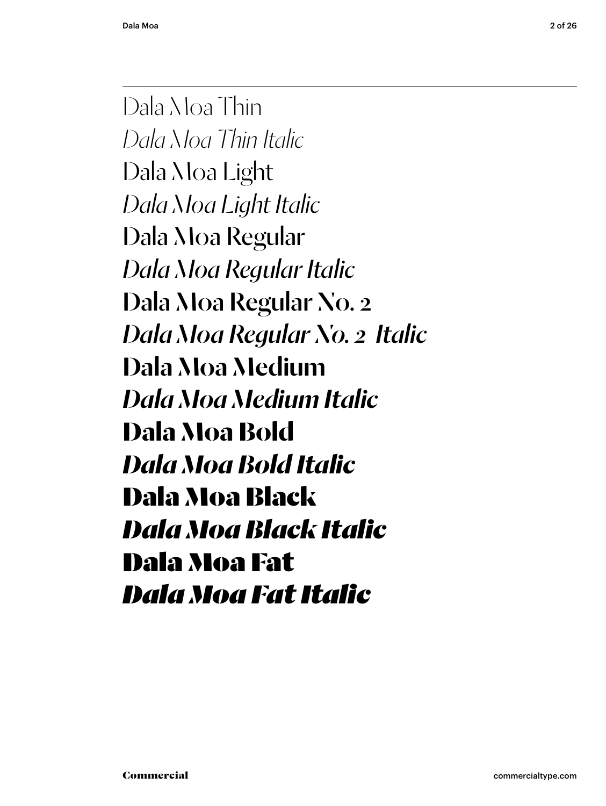Dala Moa Thin *Dala Moa Thin Italic* Dala Moa Light *Dala Moa Light Italic* Dala Moa Regular *Dala Moa Regular Italic* Dala Moa Regular No. 2 *Dala Moa Regular No. 2 Italic* Dala Moa Medium *Dala Moa Medium Italic* **Dala Moa Bold** *Dala Moa Bold Italic* Dala Moa Black *Dala Moa Black Italic* Dala Moa Fat *Dala Moa Fat Italic*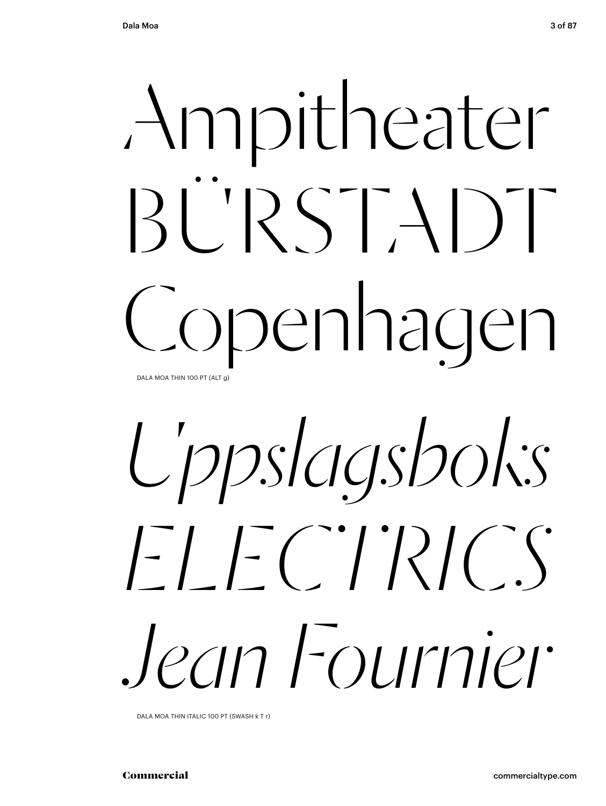# Ampitheater BÜRSTADT<br>Copenhagen DALA MOA THIN 100 PT (ALT g)

*Uppslagsboks ELECTRICS Jean Fournier* 

DALA MOA THIN ITALIC 100 PT (SWASH k T r)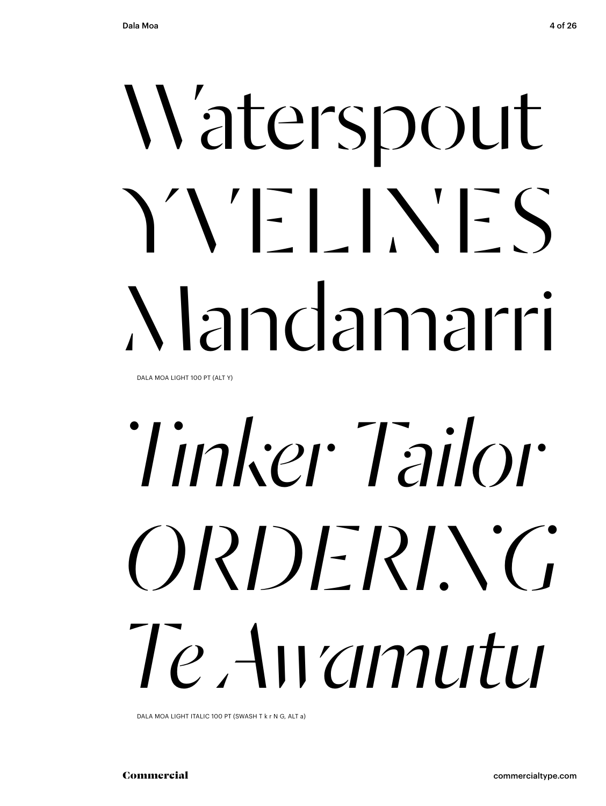## N'aterspout YYFLINES Mandamarri

DALA MOA LIGHT 100 PT (ALT Y)

## Tinker Tailor ORDERING Te Awamutu

DALA MOA LIGHT ITALIC 100 PT (SWASH T k r N G, ALT a)

Commercial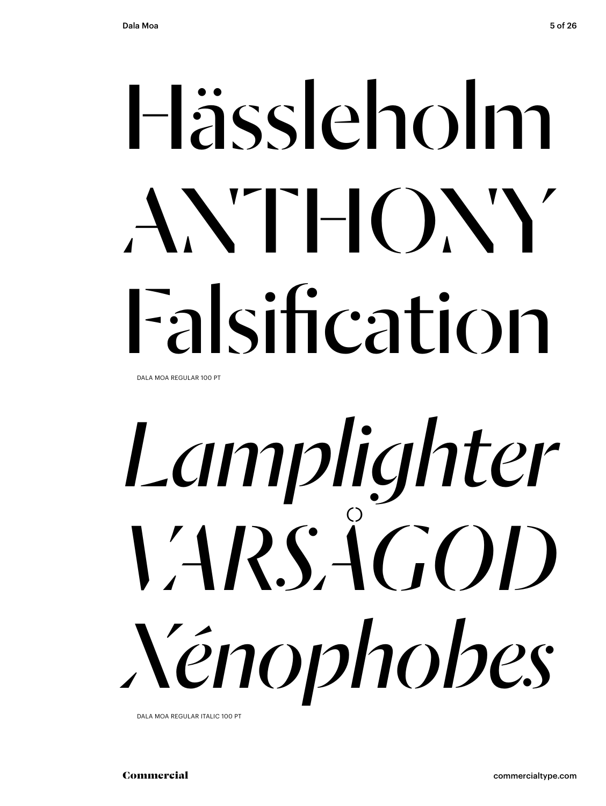## Hässleholm  $AXTHOXY$ Falsification

DALA MOA REGULAR 100 PT

# *Lamplighter Varsågod Xénophobes*

DALA MOA REGULAR ITALIC 100 PT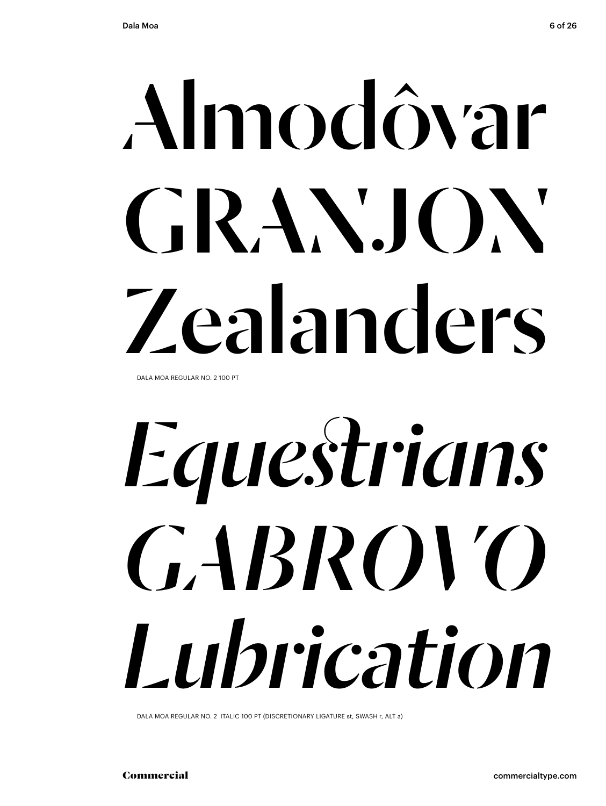# Almodôvar GRANJON Zealanders

DALA MOA REGULAR NO. 2 100 PT

## Equestrians GABROVO Lubrication

DALA MOA REGULAR NO. 2 ITALIC 100 PT (DISCRETIONARY LIGATURE st, SWASH r, ALT a)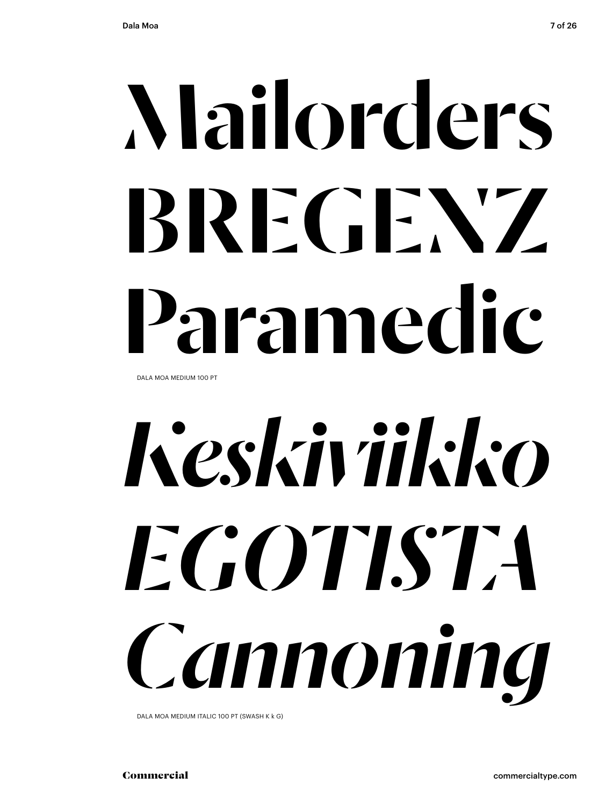## Mailorders BREGENZ Paramedic DALA MOA MEDIUM 100 PT

# *Keskiviikko egotista Cannoning*

DALA MOA MEDIUM ITALIC 100 PT (SWASH K k G)

Commercial commercialtype.com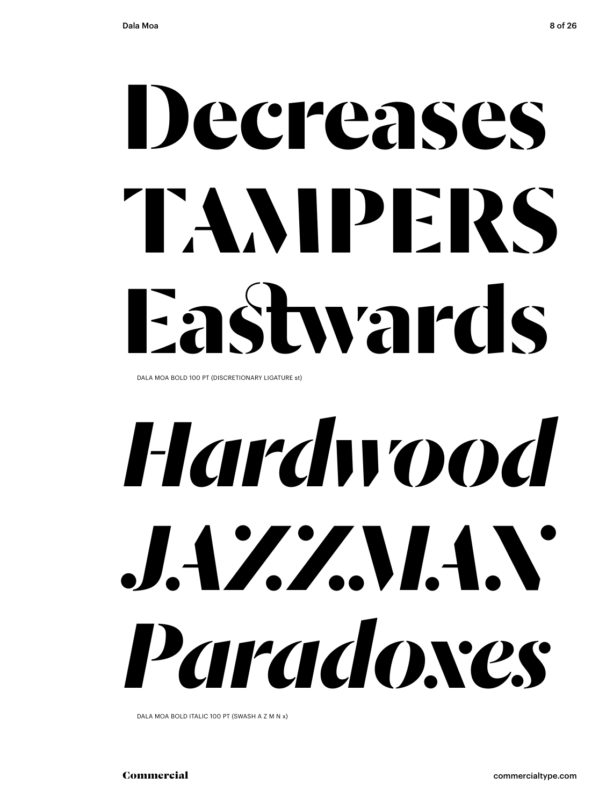## **Decreases TAMPERS Eastwards**

DALA MOA BOLD 100 PT (DISCRETIONARY LIGATURE st)

## *Hardwood JAZZMAN Paradoxes*

DALA MOA BOLD ITALIC 100 PT (SWASH A Z M N x)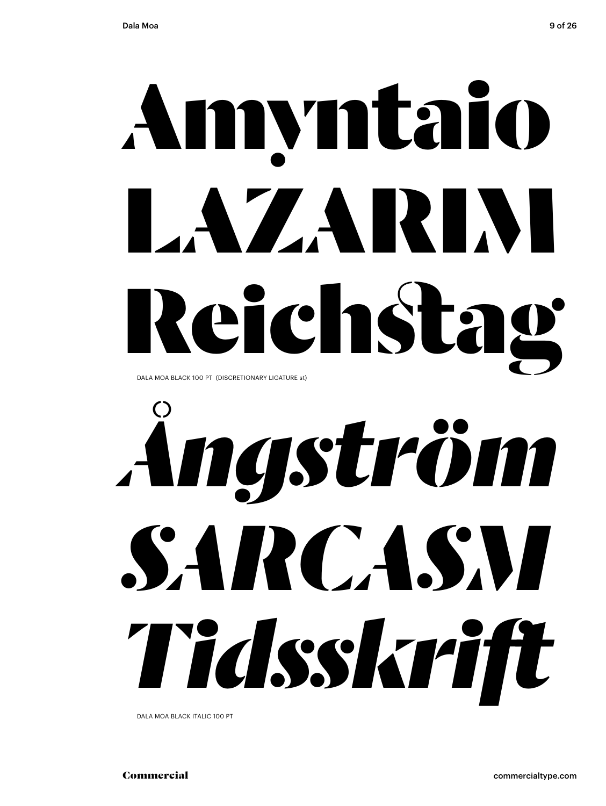## Amyntaio LAZARINI Reichstag DALA MOA BLACK 100 PT (DISCRETIONARY LIGATURE st)

# Angström SARCASM Tidsskrift

DALA MOA BLACK ITALIC 100 PT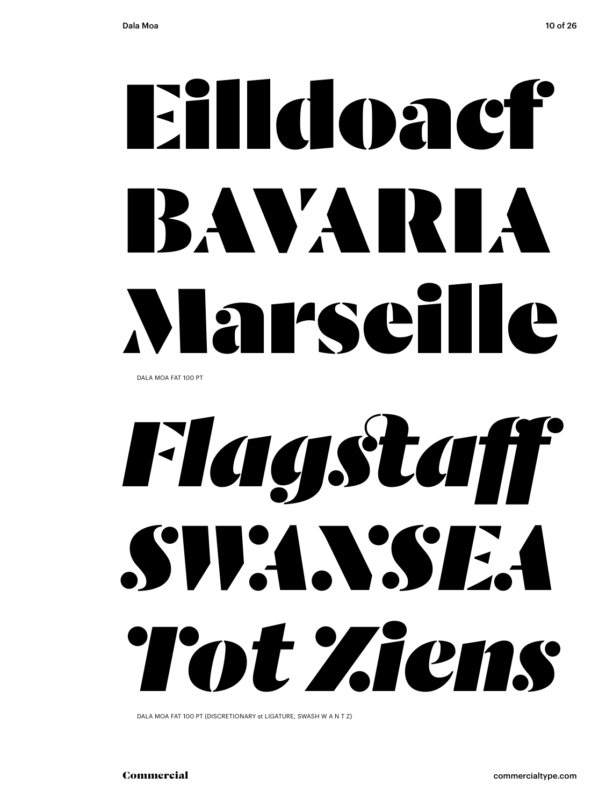# **Eildoacf** BAVARIA Marseille

DALA MOA FAT 100 PT

## Flagstaff SUPAN'SEA Tot Ziens

DALA MOA FAT 100 PT (DISCRETIONARY st LIGATURE, SWASH W A N T Z)

Commercial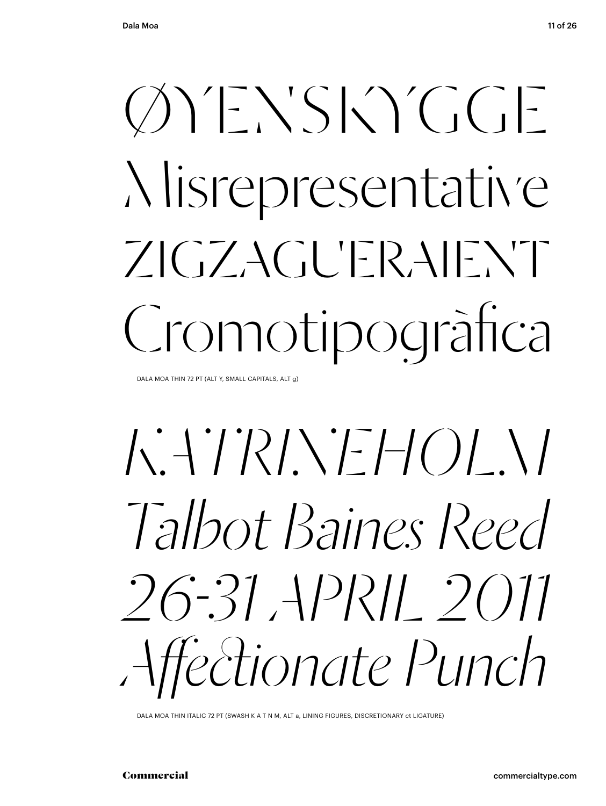### $\bigcirc \wedge' E \vee S \bigcirc \bigcirc C E$ Nisrepresentative  $ZICZACUFRAIFNT$ Cromotipogràfica

DALA MOA THIN 72 PT (ALT Y, SMALL CAPITALS, ALT g)

### Talbot Baines Reed  $26 - 31$  APRII 2011 Affectionate Punch

DALA MOA THIN ITALIC 72 PT (SWASH K A T N M, ALT a, LINING FIGURES, DISCRETIONARY ct LIGATURE)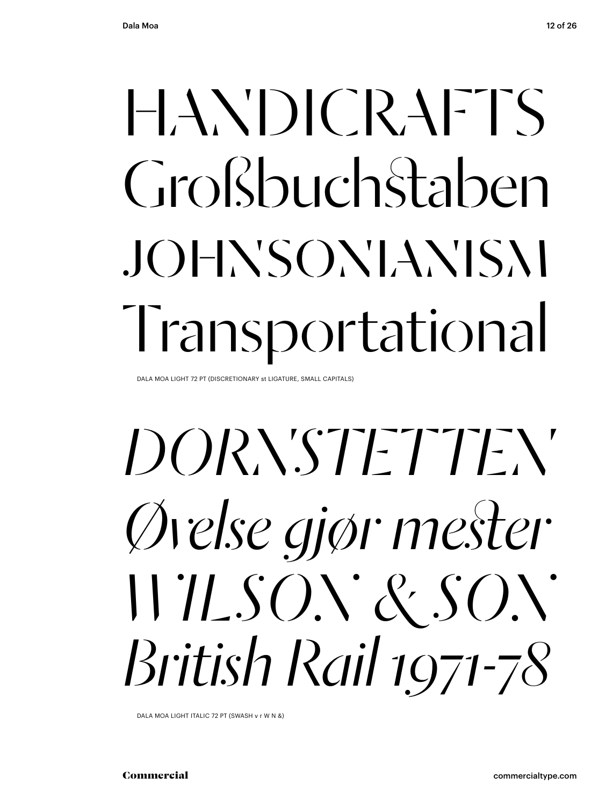### $HANDICRAFTS$ Großbuchstaben johnsonianism Transportational

DALA MOA LIGHT 72 PT (DISCRETIONARY st LIGATURE, SMALL CAPITALS)

*Dornstetten Øvelse gjør mester WILSON & SON British Rail 1971-78*

DALA MOA LIGHT ITALIC 72 PT (SWASH v r W N &)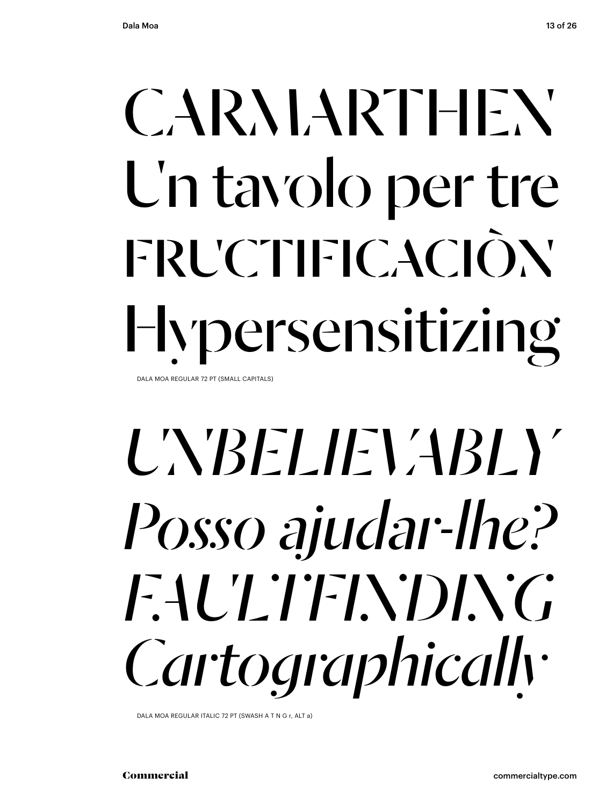## CARMARTHEN Un tavolo per tre FRUCTIFICACIÒN Hypersensitizing

DALA MOA REGULAR 72 PT (SMALL CAPITALS)

### UNBELIEVABLY *Posso ajudar-lhe? faultfinding Cartographically*

DALA MOA REGULAR ITALIC 72 PT (SWASH A T N G r, ALT a)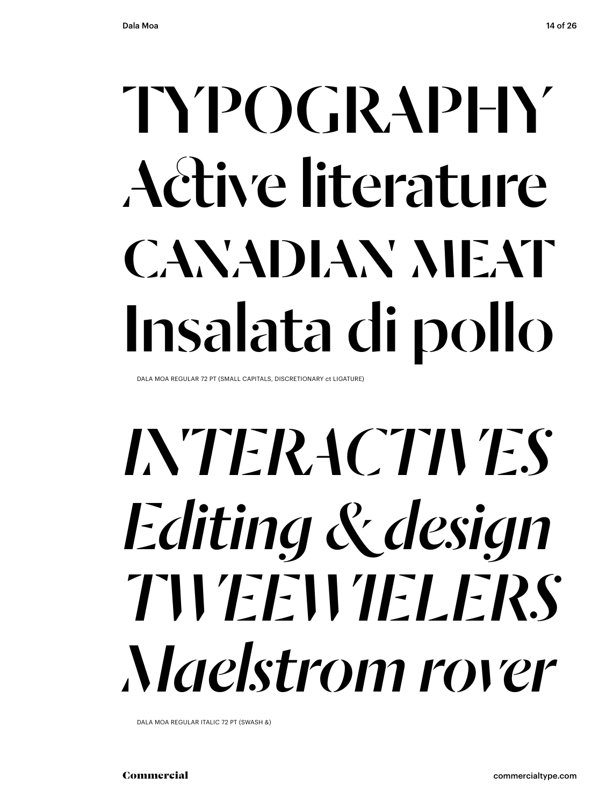### TYPOGRAPHY Active literature CANADIAN MEAT Insalata di pollo

DALA MOA REGULAR 72 PT (SMALL CAPITALS, DISCRETIONARY ct LIGATURE)

### *INTERACTIVES Editing & design tweewielerS Maelstrom rover*

DALA MOA REGULAR ITALIC 72 PT (SWASH &)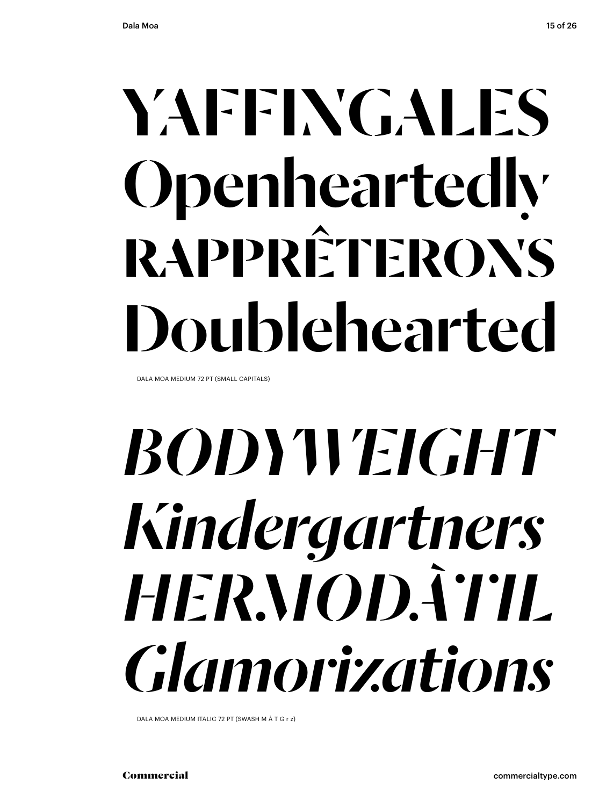### YAFFINGALES Openheartedly **RAPPRÊTERON'S** Doublehearted

DALA MOA MEDIUM 72 PT (SMALL CAPITALS)

### **BODYVEIGHT** Kindergartners HERMODÃTIL *Glamorizations*

DALA MOA MEDIUM ITALIC 72 PT (SWASH M À T G r z)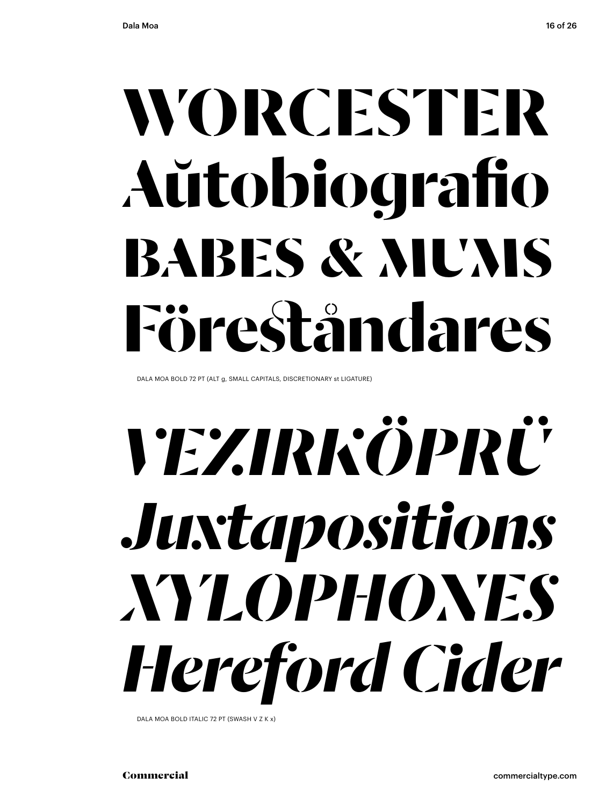### WORCESTER Aŭtobiografio **BABES & MUMS** Föreståndares

DALA MOA BOLD 72 PT (ALT g, SMALL CAPITALS, DISCRETIONARY st LIGATURE)

## *YEZIRKÖPRÜ* Juxtapositions XYLOPHONES Hereford Cider

DALA MOA BOLD ITALIC 72 PT (SWASH V Z K x)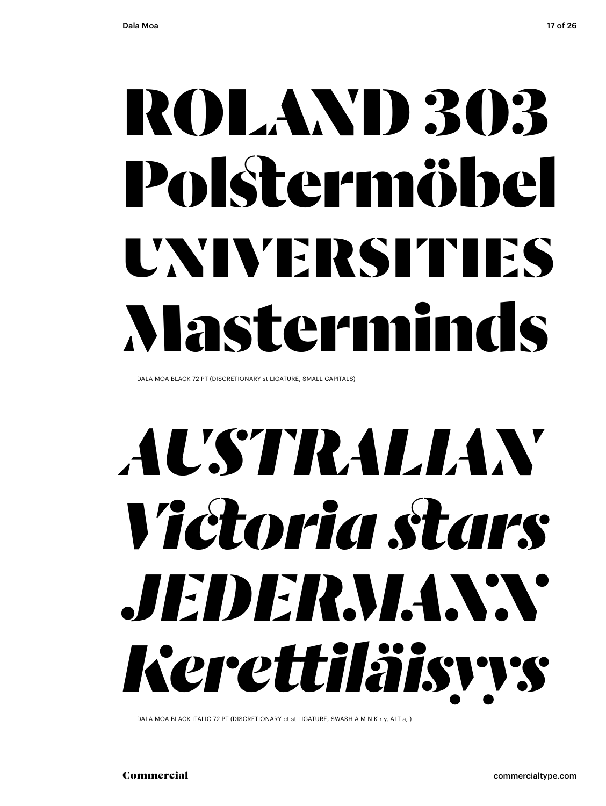### ROLAND 303 Polstermöbel UNIVERSITIES Masterminds

DALA MOA BLACK 72 PT (DISCRETIONARY st LIGATURE, SMALL CAPITALS)

### *AUSTRALIAN Victoria stars JEDERMANN Kerettiläisyys*

DALA MOA BLACK ITALIC 72 PT (DISCRETIONARY ct st LIGATURE, SWASH A M N K r y, ALT a, )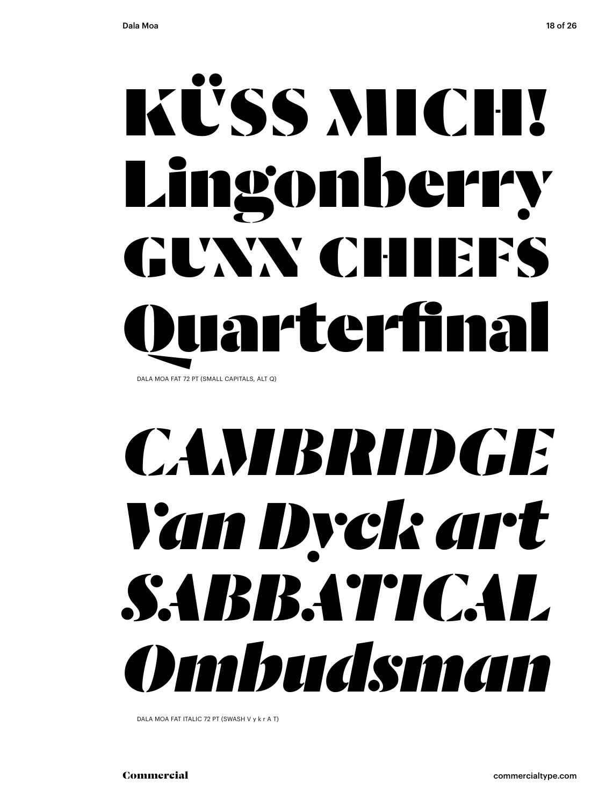### KÜSS MICH! Lingonberry GUNN CHIEFS arterfinal DALA MOA FAT 72 PT (SMALL CAPITALS, ALT Q)

### *CAMBRIDGE Van Dyck art Sabbatical Ombudsman*

DALA MOA FAT ITALIC 72 PT (SWASH V y k r A T)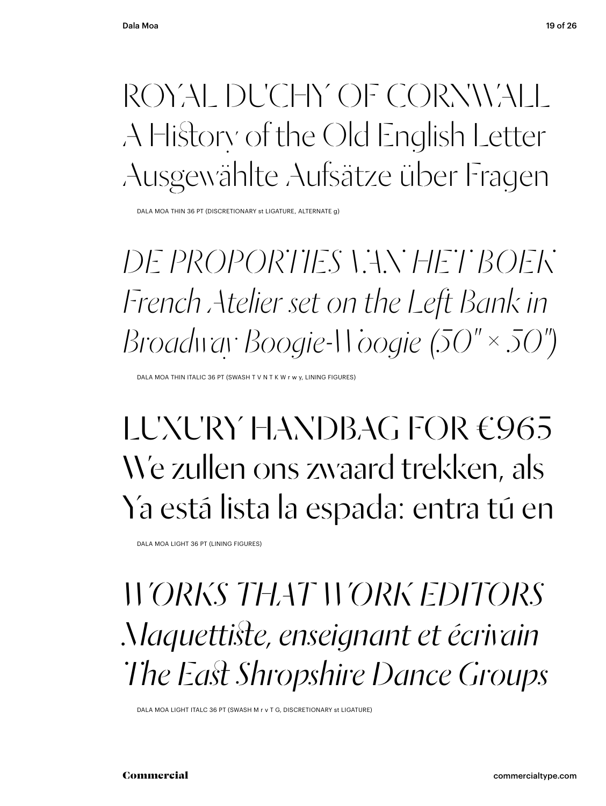#### ROYAL DUCHY OF CORNWALL A History of the Old English Letter Ausgewählte Aufsätze über Fragen

DALA MOA THIN 36 PT (DISCRETIONARY st LIGATURE, ALTERNATE g)

*De proporties van het boek French Atelier set on the Left Bank in Broadway Boogie-Woogie (50" × 50")*

DALA MOA THIN ITALIC 36 PT (SWASH T V N T K W r w y, LINING FIGURES)

#### LUXURY HANDBAG FOR €965 We zullen ons zwaard trekken, als Ya está lista la espada: entra tú en

DALA MOA LIGHT 36 PT (LINING FIGURES)

*WORKS THAT WORK EDITORS Maquettiste, enseignant et écrivain The East Shropshire Dance Groups*

DALA MOA LIGHT ITALC 36 PT (SWASH M r v T G, DISCRETIONARY st LIGATURE)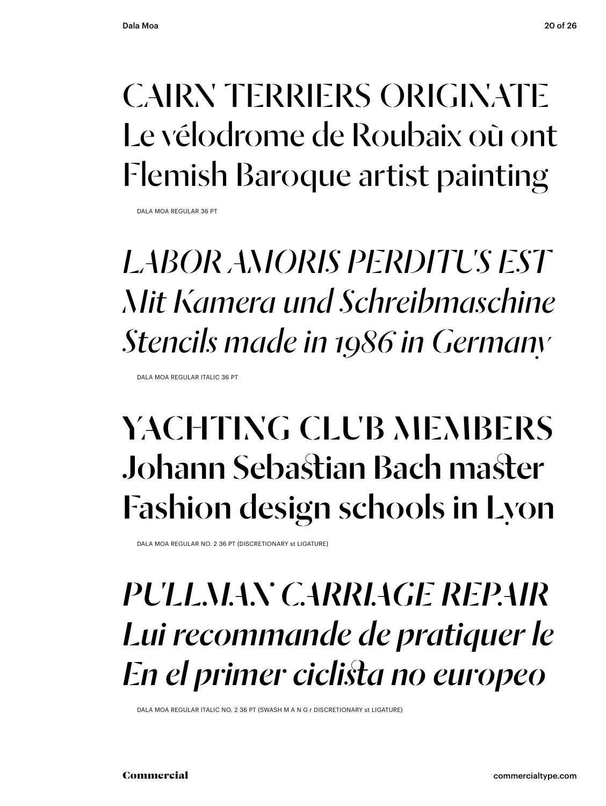### CAIRN TERRIERS ORIGINATE Le vélodrome de Roubaix où ont Flemish Baroque artist painting

DALA MOA REGULAR 36 PT

### *Labor Amoris Perditus Est Mit Kamera und Schreibmaschine Stencils made in 1986 in Germany*

DALA MOA REGULAR ITALIC 36 PT

### YACHTING CLUB MEMBERS Johann Sebastian Bach master Fashion design schools in Lyon

DALA MOA REGULAR NO. 2 36 PT (DISCRETIONARY st LIGATURE)

#### *PULLMAN CARRIAGE REPAIR Lui recommande de pratiquer le En el primer ciclista no europeo*

DALA MOA REGULAR ITALIC NO. 2 36 PT (SWASH M A N G r DISCRETIONARY st LIGATURE)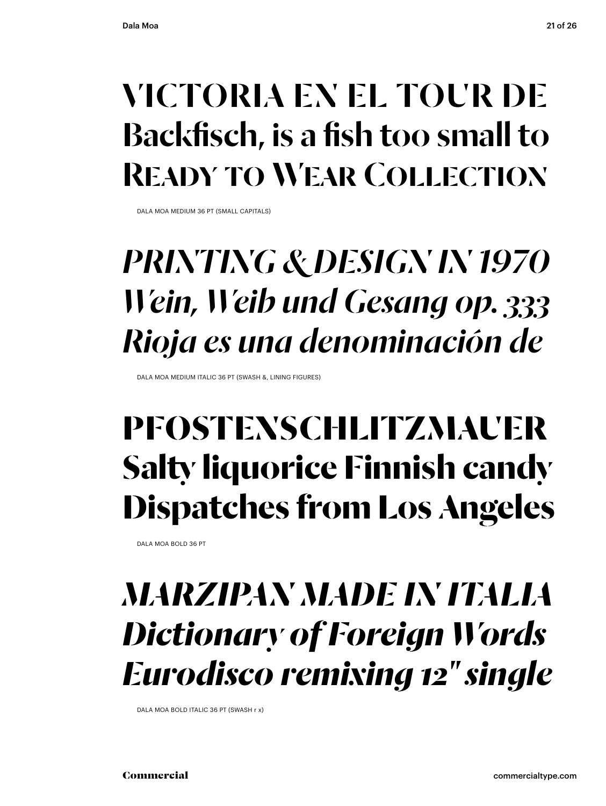#### victoria en el Tour de Backfisch, is a fish too small to Ready to Wear Collection

DALA MOA MEDIUM 36 PT (SMALL CAPITALS)

### *PRINTING & DESIGN IN 1970 Wein, Weib und Gesang op. 333 Rioja es una denominación de*

DALA MOA MEDIUM ITALIC 36 PT (SWASH &, LINING FIGURES)

#### **Pfostenschlitzmauer Salty liquorice Finnish candy Dispatches from Los Angeles**

DALA MOA BOLD 36 PT

#### *marzipan MADE IN ITALIA Dictionary of Foreign Words Eurodisco remixing 12" single*

DALA MOA BOLD ITALIC 36 PT (SWASH r x)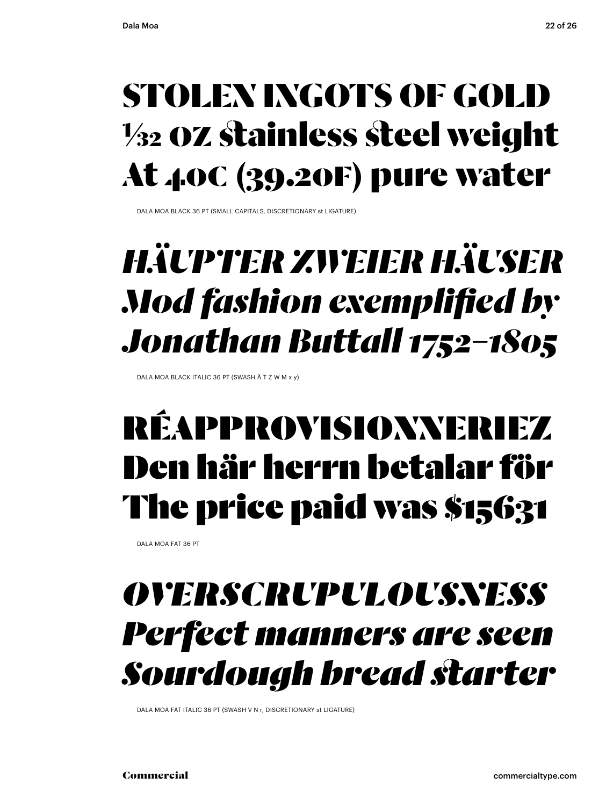#### STOLEN INGOTS OF GOLD 1/32 oz stainless steel weight At 4oC (39.2oF) pure water

DALA MOA BLACK 36 PT (SMALL CAPITALS, DISCRETIONARY st LIGATURE)

### *Häupter zweier Häuser Mod fashion exemplified by Jonathan Buttall 1752–1805*

DALA MOA BLACK ITALIC 36 PT (SWASH Ä T Z W M x y)

### réapprovisionneriez Den här herrn betalar för The price paid was \$15631

DALA MOA FAT 36 PT

#### *overscrupulousness Perfect manners are seen Sourdough bread starter*

DALA MOA FAT ITALIC 36 PT (SWASH V N r, DISCRETIONARY st LIGATURE)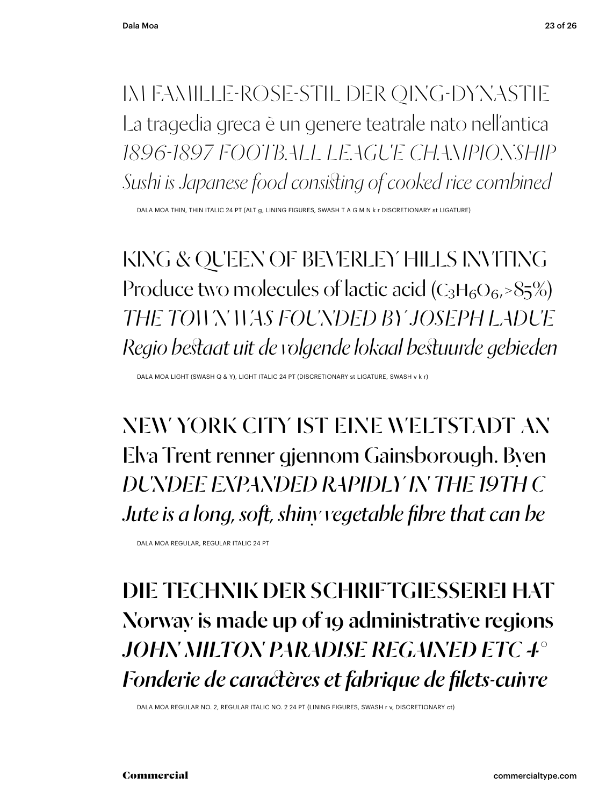#### im Famille-Rose-Stil der Qing-Dynastie La tragedia greca è un genere teatrale nato nell'antica *1896-1897 FOOTBALL LEAGUE CHAMPIONSHIP Sushi is Japanese food consisting of cooked rice combined*

DALA MOA THIN, THIN ITALIC 24 PT (ALT g, LINING FIGURES, SWASH T A G M N k r DISCRETIONARY st LIGATURE)

KING & QUEEN OF BEVERLEY HILLS INVITING Produce two molecules of lactic acid ( $C_3H_6O_6$ ,  $85\%$ ) *The town was founded by Joseph Ladue Regio bestaat uit de volgende lokaal bestuurde gebieden*

DALA MOA LIGHT (SWASH Q & Y), LIGHT ITALIC 24 PT (DISCRETIONARY st LIGATURE, SWASH v k r)

NEW YORK CITY ist eine Weltstadt an Elva Trent renner gjennom Gainsborough. Byen *DUNDEE expanded rapidly in the 19th c Jute is a long, soft, shiny vegetable fibre that can be*

DALA MOA REGULAR, REGULAR ITALIC 24 PT

#### Die Technik der SchriftgieSSerei hat Norway is made up of 19 administrative regions *JOHN MILTON PARADISE REGAINED ETC 4° Fonderie de caractères et fabrique de filets-cuivre*

DALA MOA REGULAR NO. 2, REGULAR ITALIC NO. 2 24 PT (LINING FIGURES, SWASH r v, discretionary ct)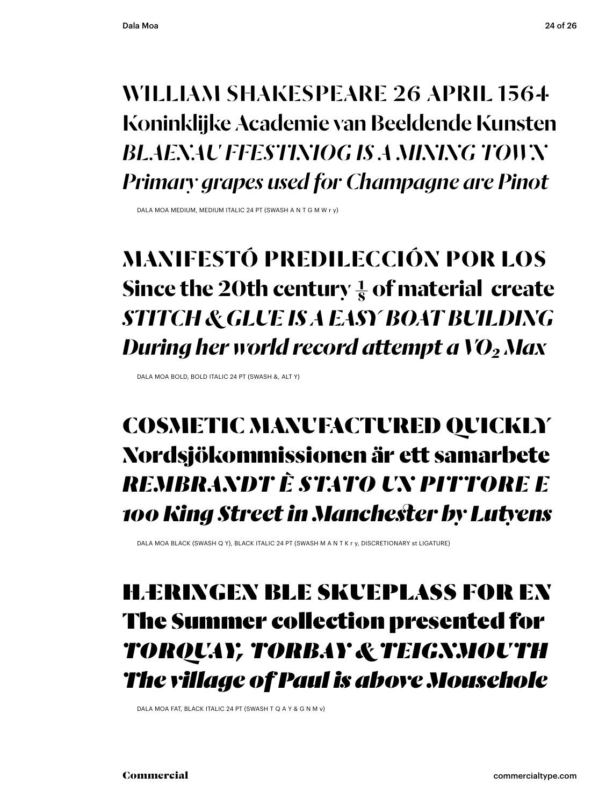#### William Shakespeare 26 April 1564 Koninklijke Academie van Beeldende Kunsten *Blaenau Ffestiniog is a mining town Primary grapes used for Champagne are Pinot*

DALA MOA MEDIUM, MEDIUM ITALIC 24 PT (SWASH A N T G M W r y)

#### **Manifestó predilección por los** Since the 20th century  $\frac{1}{8}$  of material create *Stitch & Glue is a EASY boat building During her world record attempt a VO2 Max*

DALA MOA BOLD, BOLD ITALIC 24 PT (SWASH &, ALT Y)

#### COSMETIC MANUFACTURED QUICKLY Nordsjökommissionen är ett samarbete *REMBRANDT è stato un pittore e 100 King Street in Manchester by Lutyens*

DALA MOA BLACK (SWASH Q Y), BLACK ITALIC 24 PT (SWASH M A N T K r y, DISCRETIONARY st LIGATURE)

#### Hæringen ble skueplass for en The Summer collection presented for *TORQUAY, TORBAY & TEIGNMOUTH The village of Paul is above Mousehole*

DALA MOA FAT, BLACK ITALIC 24 PT (SWASH T Q A Y & G N M v)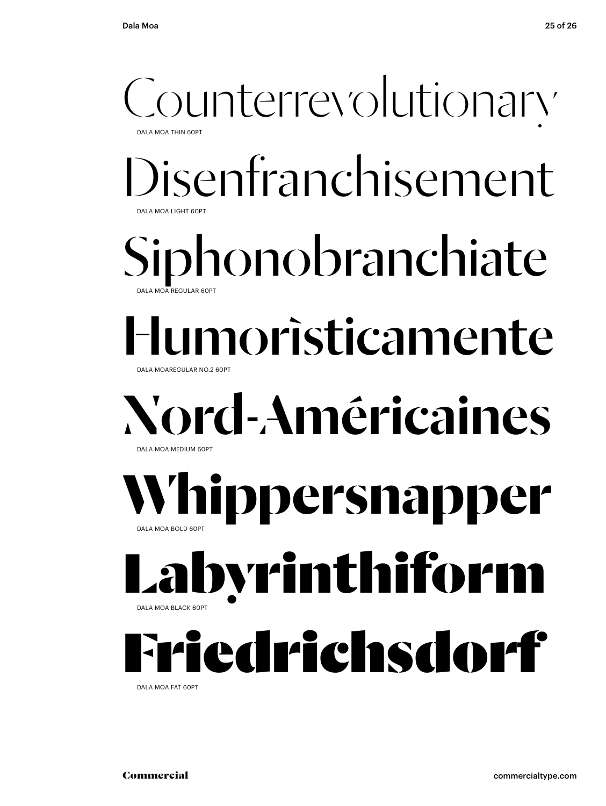

DALA MOA FAT 60PT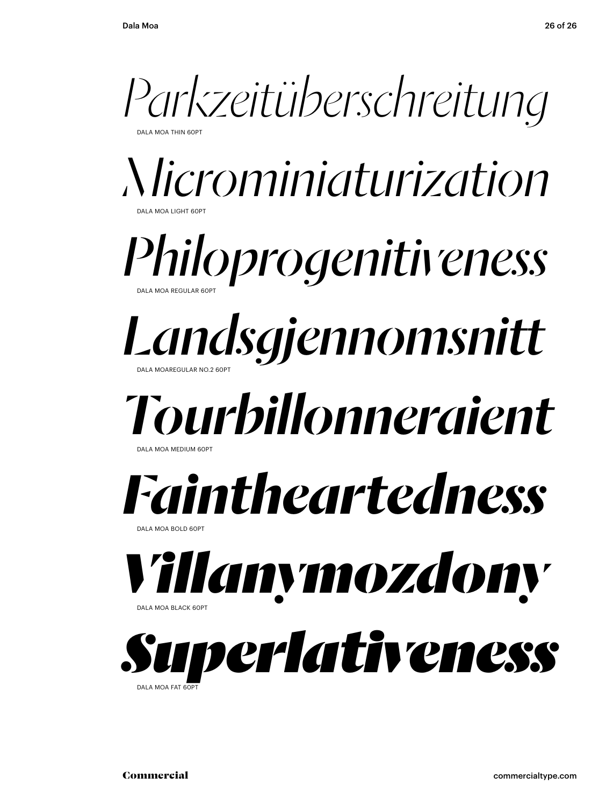*Parkzeitüberschreitung*

DALA MOA THIN 60PT

*Microminiaturization* DALA MOA LIGHT 60PT

*Philoprogenitiveness* DALA MOA REGULAR 60PT

#### *Landsgjennomsnitt* DALA MOAREGULAR NO.2 60PT

### *Tourbillonneraient*

DALA MOA MEDILIM 60PT

### *Faintheartedness*

DALA MOA BOLD 60PT



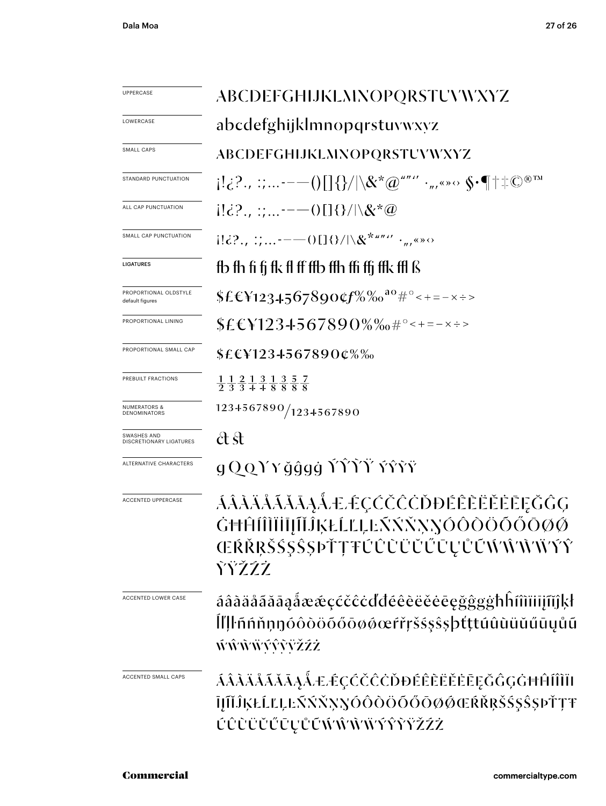| <b>UPPERCASE</b>                         | <b>ABCDEFGHIJKLMNOPQRSTUVWXYZ</b>                                                                                                                                         |
|------------------------------------------|---------------------------------------------------------------------------------------------------------------------------------------------------------------------------|
| LOWERCASE                                | abcdefghijklmnopqrstuvwxyz                                                                                                                                                |
| SMALL CAPS                               | ABCDEFGHIJKLMNOPQRSTUVWXYZ                                                                                                                                                |
| STANDARD PUNCTUATION                     | $\{[\cdot]_G:\ldots\cdot=-()\text{[]{}\}\} /\backslash \& \textrm{``$\varpi$'''''}\cdot_{\pi}\textrm{``}\times \textrm{``}\varphi\blacksquare^{\textrm{``}\textrm{''}}\}$ |
| ALL CAP PUNCTUATION                      | $[!i\overline{i}$ ? $\cdots$ $--$ () $[]$ {}/ \&*@                                                                                                                        |
| SMALL CAP PUNCTUATION                    | ild?., :;-----()[1{}/ \&*""'' · <sub>"'</sub> "                                                                                                                           |
| <b>LIGATURES</b>                         | fb fh fi fj fk fl ff ffb ffh ffi ffj ffk ffl ß                                                                                                                            |
| PROPORTIONAL OLDSTYLE<br>default figures | $$f$f$Y1234.567890$ $$f\%$ % $$^{a\circ}$$ $#^{\circ}$$ $~=$ $ \times$ $\div$ >                                                                                           |
| PROPORTIONAL LINING                      | $$E\&Y123+567890\%$ % $*$ <sup>°</sup> < + = - x ÷ >                                                                                                                      |
| PROPORTIONAL SMALL CAP                   | $$E\in$12345678900\%$                                                                                                                                                     |
| PREBUILT FRACTIONS                       | $\frac{1}{2}$ $\frac{1}{3}$ $\frac{2}{3}$ $\frac{1}{4}$ $\frac{3}{8}$ $\frac{1}{8}$ $\frac{3}{8}$ $\frac{5}{8}$ $\frac{7}{8}$                                             |
| <b>NUMERATORS &amp;</b><br>DENOMINATORS  | 1234567890/1234567890                                                                                                                                                     |
| SWASHES AND<br>DISCRETIONARY LIGATURES   | ct st                                                                                                                                                                     |
| ALTERNATIVE CHARACTERS                   | g QQYY ğĝgġ ŤŶŶŸ ÝŶŶŸ                                                                                                                                                     |
| ACCENTED UPPERCASE                       | ÁÂĂĂĂĂĂĂĂÆÉÇČČČŎĎĐĔÊĔĔĔĔĒĘĞĜĢ<br>ĠĦĤĺĨĨĬĨIJĨĬĴĶŁĹĽĻĿŃŃŇŊŎÔŎŎŎŐŌØØ<br>ŒŔŘŖŠŚŞŜŞÞŤŢŦŰŮŨŨŬŰŪŲŮŨŴŴŴŸŶ<br>ŶŸŽŹŻ                                                                |
| ACCENTED LOWER CASE                      | áâàäåãăāaåææçćčĉċďđéêèëěėegğggħĥm̃iijm̃jkł<br>ĺľļŀñńňņŋóôòöõőōøøœŕřŗšśşŝşþťţŧúûùüŭűūųůũ<br>ŴŴŴŴŶŶŸŽŹŻ                                                                     |
| ACCENTED SMALL CAPS                      | <u>ÁÂĂÄĂĂĂĄÅÆÉÇĆČČÒĐÉÊÈËĖĒĘĞĜGĠĦĤĨĨĨĪI</u><br>ĪJĨĬĴĶŁĹĽĻĿŃŃŇŊŎÔŎŎŎŎŎØØŒŔŘŖŠŚ\$ŜŷÞŤŢŦ<br><b>ÚŨŨŨŬŰŪŲŮŨŴŴŴŴŶŶŸŽŹŻ</b>                                                       |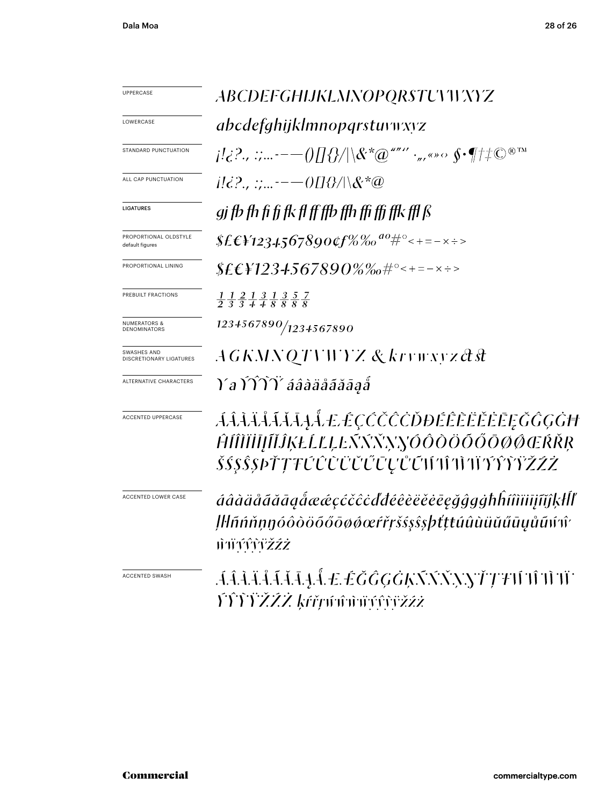| UPPERCASE                                | ABCDEFGHIJKLMNOPQRSTUVIVNYZ                                                                                                                                                                                           |
|------------------------------------------|-----------------------------------------------------------------------------------------------------------------------------------------------------------------------------------------------------------------------|
| LOWERCASE                                | abcdefghijklmnopqrstuvwyz                                                                                                                                                                                             |
| STANDARD PUNCTUATION                     | $\mu_{\mathcal{G}}^1$ , $\mu_{\mathcal{G}}^2$ , $\mu_{\mathcal{G}}^2$ , $\mu_{\mathcal{G}}^2 = -O(\log(1/\delta) \log^2(\delta \log^2 \delta))$ , we set $\delta \cdot \eta$ , $\mu_{\mathcal{G}}^2 \in \mathbb{R}^n$ |
| ALL CAP PUNCTUATION                      |                                                                                                                                                                                                                       |
| <b>LIGATURES</b>                         | gj fb fh fi fj fk fl ff ffb ffh ffi ffi ffk ffl ß                                                                                                                                                                     |
| PROPORTIONAL OLDSTYLE<br>default figures | \$£€\{1234567890¢f%‰ <sup>do</sup> #°<+=-x÷>                                                                                                                                                                          |
| PROPORTIONAL LINING                      | $$EEY123+567890\%$ %#°<+=-x÷>                                                                                                                                                                                         |
| PREBUILT FRACTIONS                       | $\frac{1}{2}$ $\frac{1}{3}$ $\frac{2}{3}$ $\frac{1}{4}$ $\frac{3}{8}$ $\frac{1}{8}$ $\frac{3}{8}$ $\frac{5}{8}$ $\frac{7}{8}$                                                                                         |
| <b>NUMERATORS &amp;</b><br>DENOMINATORS  | 1234567890/1234567890                                                                                                                                                                                                 |
| SWASHES AND<br>DISCRETIONARY LIGATURES   | AGKMNQTVWYZ & krywxyz&st                                                                                                                                                                                              |
| ALTERNATIVE CHARACTERS                   | Ya ÝŶŶŸ áâàäåãăāąå                                                                                                                                                                                                    |
| <b>ACCENTED UPPERCASE</b>                | <i>ÁÂÂÄÅÃĂĂĄÅÆÉÇČČČŎĐĔÊÈĔĔĔĔĘĞĜĢĠĦ</i><br>ĤÍÎÌÏĬĪJĨĹĴĶŁĹĽĻĿŃŃŇŊŎÔŎŎŎŎŎØØŒŔŘŖ<br><i>ŠŚŞŜŞÞŤŢŦŰŮŨŨŬŰŨŲŮŨ</i> ĦŦĤŦĬŦŶŶŸŽŹŻ                                                                                               |
| ACCENTED LOWER CASE                      | áâàäåãăāa@åææçćčĉċďdéêèëĕēēgĝgġħĥíîìïiijĩĭĵķłĺľ<br>Įŀlñńňņŋóôòöõőōøøœŕřŗšśşŝşþťţŧúûùüŭűūyůũᡤᡤ<br><i>ŴŴŶŶŸŽŹŻ</i>                                                                                                      |
| <b>ACCENTED SWASH</b>                    | ĂÂĂĂĂĂĂĂ. A. LÉĞĜGĠĶŃŃŊŸŢŦŴŴŴ<br><i><b>YŶŶŸŽŹŻ kŕřrúûûwýŕůžźż</b></i>                                                                                                                                                 |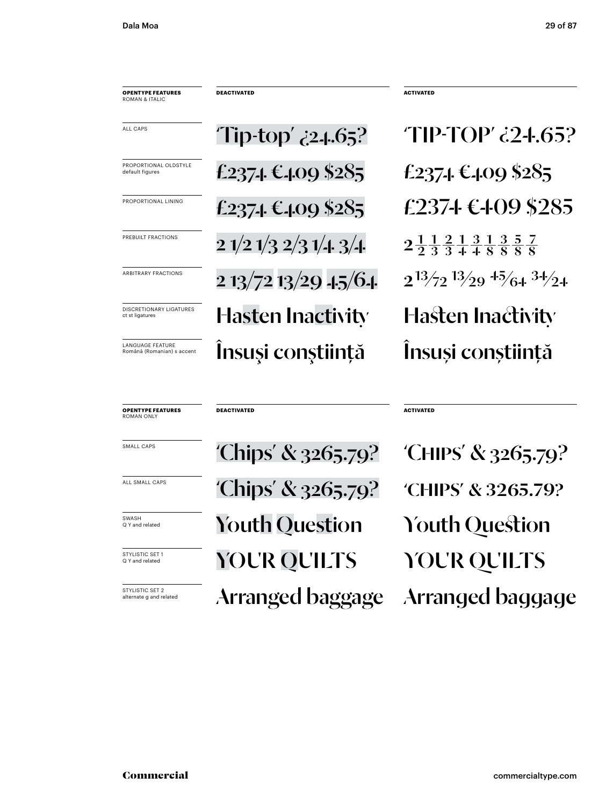**opentype FEATUREs** roman & italic **DEACTIVATED ACTIVATED**

DISCRETIONARY LIGATURES **Haster Inactivity Hasten Inactivity** PROPORTIONAL OLDSTYLE  $\text{£}237$ -1.  $\text{£}409$  \$285  $\text{£}237$ -1.  $\text{£}409$  \$285 £2374 €409 \$285 EANGUAGE FEATURE **ANGUAGE FEATURE**<br>Română (Românian) s accent **Anguage Tracelarian Anguage de Constituță** Însuși conștiință PREBUILT FRACTIONS 2 1/2 1/3 2/3 1/4 3/4 2  $\frac{1}{2}$   $\frac{1}{3}$   $\frac{2}{4}$   $\frac{1}{8}$   $\frac{3}{8}$   $\frac{5}{8}$   $\frac{7}{8}$ 

 $Tip-top'$   $\zeta$ 24.65?  $TIP-TOP'$   $\zeta$ 24.65? PROPORTIONAL LINING  $£237.1 \& 1.09 $285$   $£237.1 \& 1.09 $285$ ARBITRARY FRACTIONS 2 13/72 13/29 -1-5/6-1  $2^{13/72}$   $^{13/29}$   $^{15/64}$   $^{34/24}$ 

roman only

**opentype FEATUREs**

SWASH **Question** SWASH **Question** South Question ALL SMALL CAPS<br>
Chips' & 3265.79?<br>
CHIPS' & 3265.79? STYLISTIC SET 1  $\overline{V}$ OUR QUILTS  $\overline{V}$ OUR QUI Arranged baggage SMALL CAPS<br>
'Chips' & 3265.79? CHIPS' & 3265.79?

**DEACTIVATED ACTIVATED**

STYLISTIC SET 2<br>alternate g and related **Arranged** baggage Arranged baggage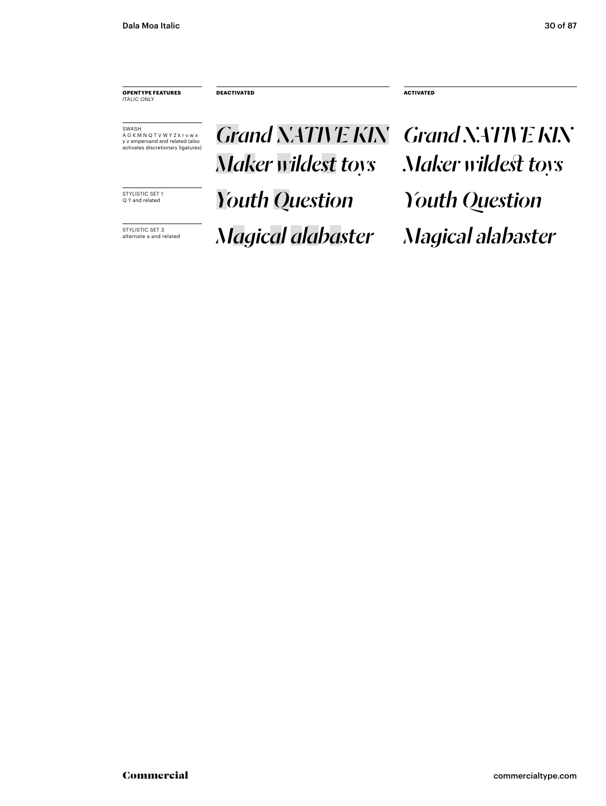**opentype FEATUREs** italic only

**DEACTIVATED ACTIVATED**

.<br>SWASH<br>A G K M N Q T V W Y Z k r v w x y z ampersand and related (also activates discretionary ligatures)

SWASH **AGKMNQTVWYZKrvwx**<br>AGKMNQTVWYZKrvwx<br>Yzampersand and related (also **Crand NATIVE KIN** Grand NATIVE KIN *<i>Youth Question* Stylistic set 1 *Maker wildest toys Maker wildest toys*

*Magic SET 3 Magical alabaster Magical alabaster*